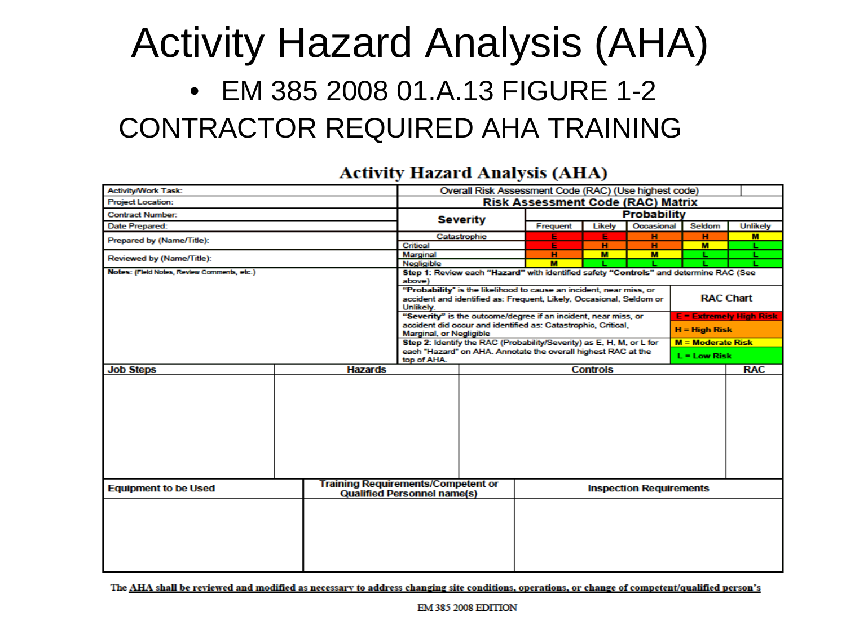#### Activity Hazard Analysis (AHA) • EM 385 2008 01.A.13 FIGURE 1-2 CONTRACTOR REQUIRED AHA TRAINING

#### **Activity Hazard Analysis (AHA)**

| <b>Activity/Work Task:</b>                                               |  |                | Overall Risk Assessment Code (RAC) (Use highest code)                                           |                                                                     |                                                                                                                                 |                  |            |                     |                                |  |  |  |
|--------------------------------------------------------------------------|--|----------------|-------------------------------------------------------------------------------------------------|---------------------------------------------------------------------|---------------------------------------------------------------------------------------------------------------------------------|------------------|------------|---------------------|--------------------------------|--|--|--|
| <b>Project Location:</b>                                                 |  |                | <b>Risk Assessment Code (RAC) Matrix</b>                                                        |                                                                     |                                                                                                                                 |                  |            |                     |                                |  |  |  |
| <b>Contract Number:</b>                                                  |  |                |                                                                                                 | <b>Severity</b>                                                     | <b>Probability</b>                                                                                                              |                  |            |                     |                                |  |  |  |
| Date Prepared:                                                           |  |                |                                                                                                 |                                                                     | Frequent                                                                                                                        | Likely           | Occasional | Seldom              | <b>Unlikely</b>                |  |  |  |
| Prepared by (Name/Title):                                                |  |                |                                                                                                 | Catastrophic                                                        | Е                                                                                                                               | Е                | н          | н                   | M                              |  |  |  |
|                                                                          |  |                | Critical                                                                                        |                                                                     | Е                                                                                                                               | н                | н          | M                   |                                |  |  |  |
| Reviewed by (Name/Title):                                                |  |                | Marginal                                                                                        |                                                                     | н                                                                                                                               | M                | M          |                     |                                |  |  |  |
|                                                                          |  |                | Negligible                                                                                      |                                                                     | м                                                                                                                               |                  |            |                     |                                |  |  |  |
| Notes: (Field Notes, Review Comments, etc.)                              |  |                | Step 1: Review each "Hazard" with identified safety "Controls" and determine RAC (See<br>above) |                                                                     |                                                                                                                                 |                  |            |                     |                                |  |  |  |
|                                                                          |  |                |                                                                                                 |                                                                     | "Probability" is the likelihood to cause an incident, near miss, or                                                             |                  |            |                     |                                |  |  |  |
|                                                                          |  |                |                                                                                                 | accident and identified as: Frequent, Likely, Occasional, Seldom or |                                                                                                                                 | <b>RAC Chart</b> |            |                     |                                |  |  |  |
|                                                                          |  |                | Unlikely.                                                                                       |                                                                     |                                                                                                                                 |                  |            |                     |                                |  |  |  |
|                                                                          |  |                |                                                                                                 |                                                                     | "Severity" is the outcome/degree if an incident, near miss, or<br>accident did occur and identified as: Catastrophic, Critical, |                  |            |                     | <b>E = Extremely High Risk</b> |  |  |  |
|                                                                          |  |                | Marginal, or Negligible                                                                         |                                                                     |                                                                                                                                 |                  |            | $H = H$ igh Risk    |                                |  |  |  |
|                                                                          |  |                |                                                                                                 |                                                                     | Step 2: Identify the RAC (Probability/Severity) as E, H, M, or L for                                                            |                  |            | $M = Moderate Risk$ |                                |  |  |  |
|                                                                          |  |                |                                                                                                 |                                                                     | each "Hazard" on AHA. Annotate the overall highest RAC at the                                                                   |                  |            |                     |                                |  |  |  |
|                                                                          |  |                | top of AHA.                                                                                     |                                                                     |                                                                                                                                 |                  |            |                     | $L = Low Risk$                 |  |  |  |
| <b>Job Steps</b>                                                         |  | <b>Hazards</b> |                                                                                                 |                                                                     |                                                                                                                                 | <b>Controls</b>  |            |                     | <b>RAC</b>                     |  |  |  |
|                                                                          |  |                |                                                                                                 |                                                                     |                                                                                                                                 |                  |            |                     |                                |  |  |  |
| <b>Training Requirements/Competent or</b><br><b>Equipment to be Used</b> |  |                | <b>Qualified Personnel name(s)</b>                                                              |                                                                     | <b>Inspection Requirements</b>                                                                                                  |                  |            |                     |                                |  |  |  |
|                                                                          |  |                |                                                                                                 |                                                                     |                                                                                                                                 |                  |            |                     |                                |  |  |  |

The AHA shall be reviewed and modified as necessary to address changing site conditions, operations, or change of competent/qualified person's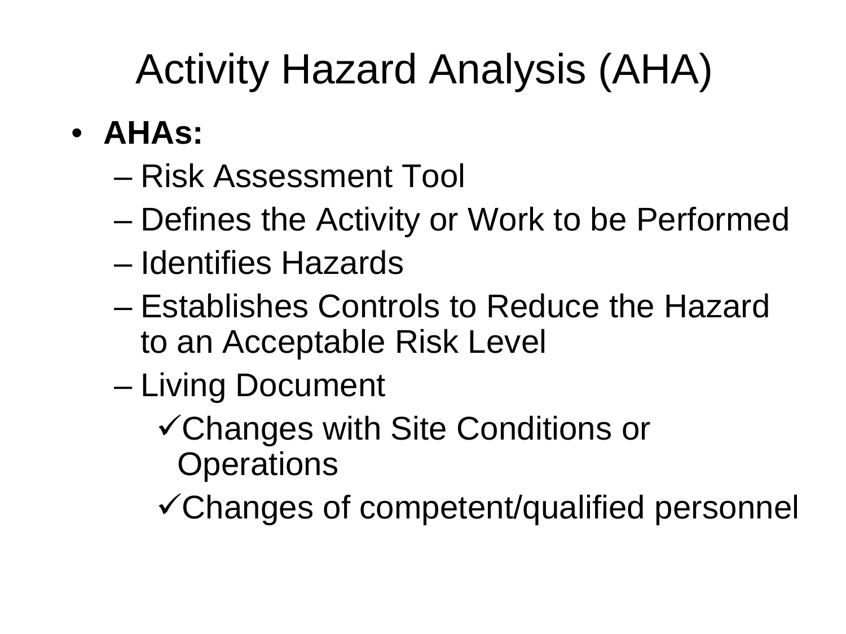# Activity Hazard Analysis (AHA)

- **AHAs:**
	- Risk Assessment Tool
	- Defines the Activity or Work to be Performed
	- Identifies Hazards
	- Establishes Controls to Reduce the Hazard to an Acceptable Risk Level
	- Living Document
		- Changes with Site Conditions or **Operations**
		- Changes of competent/qualified personnel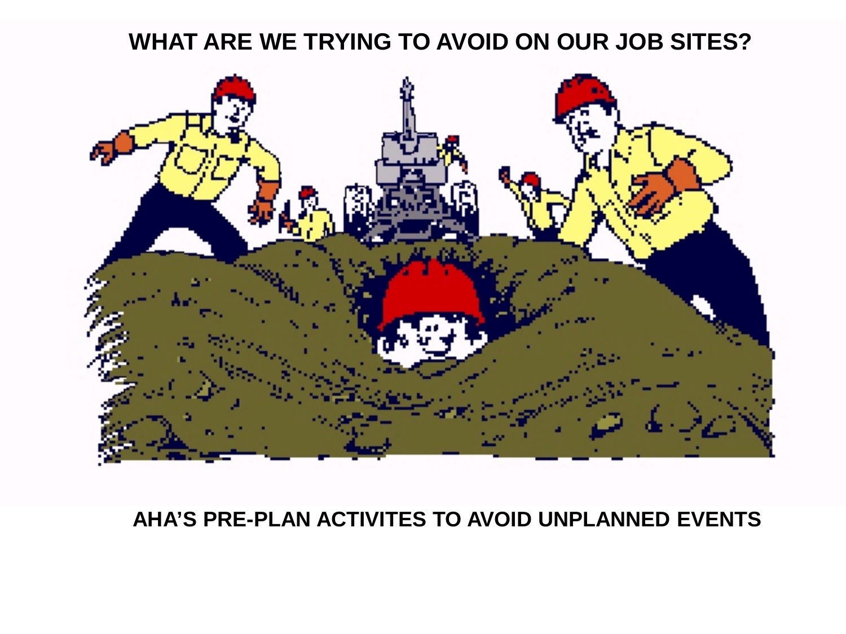#### **WHAT ARE WE TRYING TO AVOID ON OUR JOB SITES?**



#### **AHA'S PRE-PLAN ACTIVITES TO AVOID UNPLANNED EVENTS**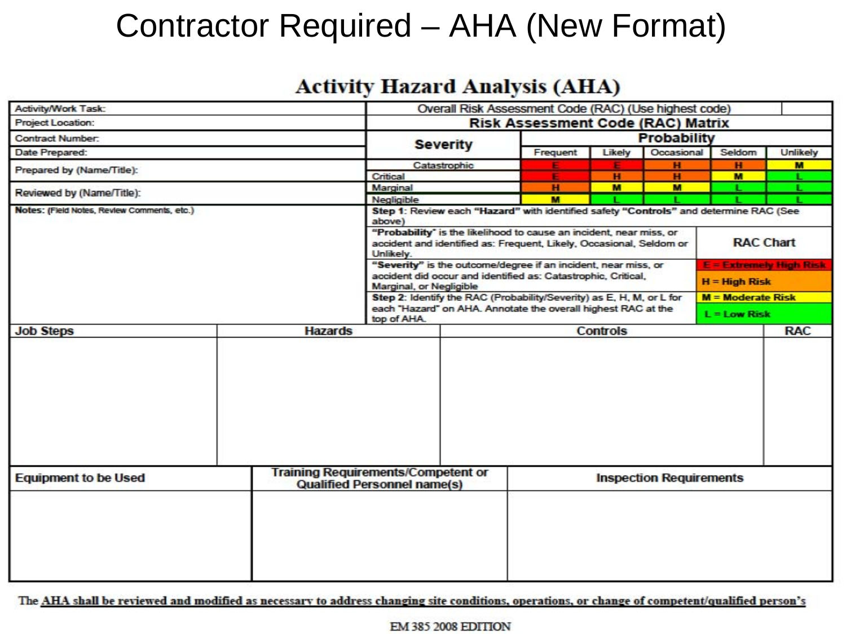#### Contractor Required – AHA (New Format)

#### **Activity Hazard Analysis (AHA)**

| Activity/Work Task:                         |                                                                                                                                                                                                                                                                                | Overall Risk Assessment Code (RAC) (Use highest code)                                                                                         |                                                                |                 |                                |            |        |                 |  |  |  |
|---------------------------------------------|--------------------------------------------------------------------------------------------------------------------------------------------------------------------------------------------------------------------------------------------------------------------------------|-----------------------------------------------------------------------------------------------------------------------------------------------|----------------------------------------------------------------|-----------------|--------------------------------|------------|--------|-----------------|--|--|--|
| <b>Project Location:</b>                    | <b>Risk Assessment Code (RAC) Matrix</b>                                                                                                                                                                                                                                       |                                                                                                                                               |                                                                |                 |                                |            |        |                 |  |  |  |
| <b>Contract Number:</b>                     |                                                                                                                                                                                                                                                                                |                                                                                                                                               |                                                                | Probability     |                                |            |        |                 |  |  |  |
| Date Prepared:                              |                                                                                                                                                                                                                                                                                |                                                                                                                                               | <b>Severity</b>                                                | Frequent        | Likely                         | Occasional | Seldom | <b>Unlikely</b> |  |  |  |
| Prepared by (Name/Title):                   |                                                                                                                                                                                                                                                                                | Catastrophic                                                                                                                                  |                                                                |                 | н                              | н          | M      |                 |  |  |  |
|                                             | Critical                                                                                                                                                                                                                                                                       |                                                                                                                                               |                                                                | н               | н                              | м          |        |                 |  |  |  |
| Reviewed by (Name/Title):                   | Marginal                                                                                                                                                                                                                                                                       |                                                                                                                                               | н                                                              | M               | м                              |            |        |                 |  |  |  |
|                                             |                                                                                                                                                                                                                                                                                | Negligible                                                                                                                                    |                                                                | м               |                                |            |        |                 |  |  |  |
| Notes: (Field Notes, Review Comments, etc.) | Step 1: Review each "Hazard" with identified safety "Controls" and determine RAC (See<br>above)<br>"Probability" is the likelihood to cause an incident, near miss, or<br><b>RAC Chart</b><br>accident and identified as: Frequent, Likely, Occasional, Seldom or<br>Unlikely. |                                                                                                                                               |                                                                |                 |                                |            |        |                 |  |  |  |
|                                             |                                                                                                                                                                                                                                                                                |                                                                                                                                               | "Severity" is the outcome/degree if an incident, near miss, or |                 |                                |            |        |                 |  |  |  |
|                                             |                                                                                                                                                                                                                                                                                | <b>E = Extremely High Risk</b><br>accident did occur and identified as: Catastrophic, Critical,<br>$H = High Risk$<br>Marginal, or Negligible |                                                                |                 |                                |            |        |                 |  |  |  |
|                                             |                                                                                                                                                                                                                                                                                | Step 2: Identify the RAC (Probability/Severity) as E, H, M, or L for                                                                          |                                                                |                 |                                |            |        |                 |  |  |  |
|                                             | top of AHA.                                                                                                                                                                                                                                                                    | each "Hazard" on AHA. Annotate the overall highest RAC at the                                                                                 |                                                                | $L = Low Risk$  |                                |            |        |                 |  |  |  |
| <b>Job Steps</b>                            | <b>Hazards</b>                                                                                                                                                                                                                                                                 |                                                                                                                                               |                                                                | <b>Controls</b> |                                |            |        |                 |  |  |  |
|                                             |                                                                                                                                                                                                                                                                                |                                                                                                                                               |                                                                |                 |                                |            |        |                 |  |  |  |
| <b>Equipment to be Used</b>                 | <b>Training Requirements/Competent or</b><br><b>Qualified Personnel name(s)</b>                                                                                                                                                                                                |                                                                                                                                               |                                                                |                 | <b>Inspection Requirements</b> |            |        |                 |  |  |  |
|                                             |                                                                                                                                                                                                                                                                                |                                                                                                                                               |                                                                |                 |                                |            |        |                 |  |  |  |

The AHA shall be reviewed and modified as necessary to address changing site conditions, operations, or change of competent/qualified person's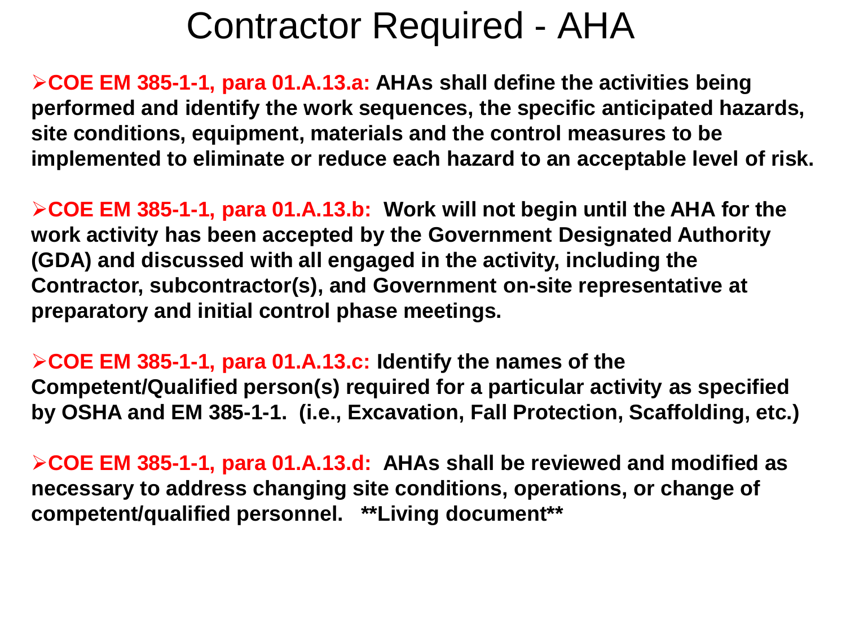#### Contractor Required - AHA

**COE EM 385-1-1, para 01.A.13.a: AHAs shall define the activities being performed and identify the work sequences, the specific anticipated hazards, site conditions, equipment, materials and the control measures to be implemented to eliminate or reduce each hazard to an acceptable level of risk.**

**COE EM 385-1-1, para 01.A.13.b: Work will not begin until the AHA for the work activity has been accepted by the Government Designated Authority (GDA) and discussed with all engaged in the activity, including the Contractor, subcontractor(s), and Government on-site representative at preparatory and initial control phase meetings.**

**COE EM 385-1-1, para 01.A.13.c: Identify the names of the Competent/Qualified person(s) required for a particular activity as specified by OSHA and EM 385-1-1. (i.e., Excavation, Fall Protection, Scaffolding, etc.)**

**COE EM 385-1-1, para 01.A.13.d: AHAs shall be reviewed and modified as necessary to address changing site conditions, operations, or change of competent/qualified personnel. \*\*Living document\*\***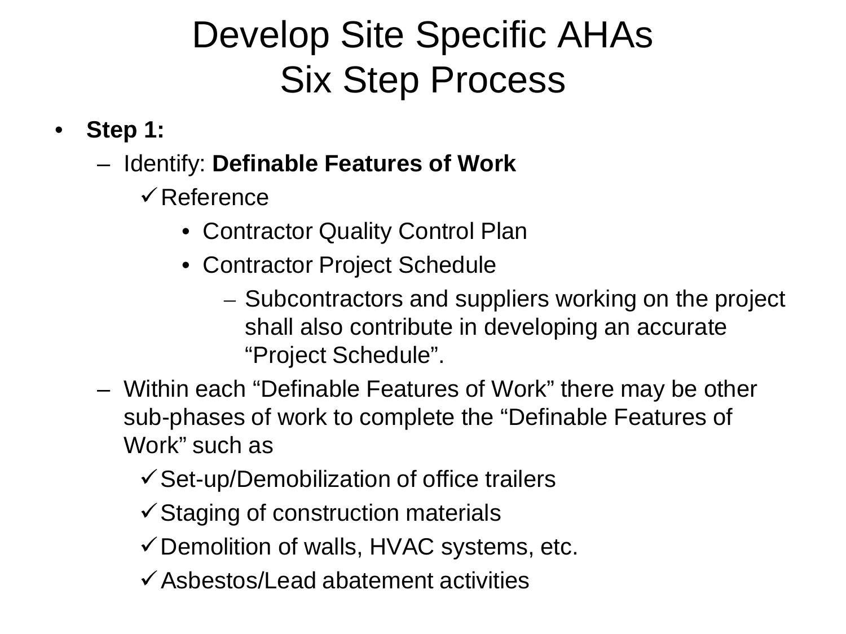## Develop Site Specific AHAs Six Step Process

- **Step 1:**
	- Identify: **Definable Features of Work**
		- $\sqrt{\mathsf{Reference}}$ 
			- Contractor Quality Control Plan
			- Contractor Project Schedule
				- Subcontractors and suppliers working on the project shall also contribute in developing an accurate "Project Schedule".
	- Within each "Definable Features of Work" there may be other sub-phases of work to complete the "Definable Features of Work" such as
		- $\checkmark$  Set-up/Demobilization of office trailers
		- $\checkmark$  Staging of construction materials
		- $\checkmark$  Demolition of walls, HVAC systems, etc.
		- $\checkmark$  Asbestos/Lead abatement activities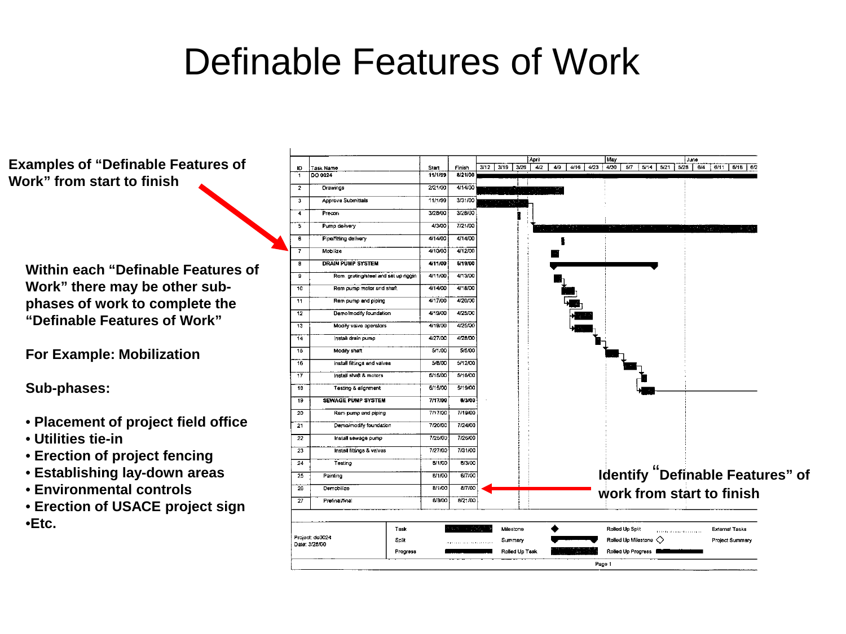#### Definable Features of Work

**Examples of "Definable Features of Work" from start to finish**

**Within each "Definable Features of Work" there may be other subphases of work to complete the "Definable Features of Work"**

**For Example: Mobilization**

**Sub-phases:**

- **Placement of project field office**
- **Utilities tie-in**
- **Erection of project fencing**
- **Establishing lay-down areas**
- **Environmental controls**
- **Erection of USACE project sign** •**Etc.**

|                                                  |                                      |         |         |      |      |                      | April |     |      |      | May  |                 |                                |      | June                     |     |                                                                                                                                                |                                          |                                         |
|--------------------------------------------------|--------------------------------------|---------|---------|------|------|----------------------|-------|-----|------|------|------|-----------------|--------------------------------|------|--------------------------|-----|------------------------------------------------------------------------------------------------------------------------------------------------|------------------------------------------|-----------------------------------------|
| Task Name<br>ID.                                 |                                      | Start   | Finish  | 3/12 | 3/19 | 3/26                 | 4/2   | 4/9 | 4/16 | 4/23 | 4/30 | 5/7             | 5/14                           | 5/21 | 5/26                     | 6/4 | 6/11                                                                                                                                           | 6/18                                     | 6/2                                     |
| DO 0024<br>$\overline{1}$                        |                                      | 11/1/99 | 8/21/00 |      |      |                      |       |     |      |      |      |                 |                                |      |                          |     |                                                                                                                                                |                                          |                                         |
| $\overline{\mathbf{2}}$<br>Orawings              |                                      | 2/21/00 | 4/14/00 |      |      |                      |       |     |      |      |      |                 |                                |      |                          |     |                                                                                                                                                |                                          |                                         |
| Approve Submittals<br>з                          |                                      | 11/1/99 | 3/31/00 |      |      |                      |       |     |      |      |      |                 |                                |      |                          |     |                                                                                                                                                |                                          |                                         |
| 4<br>Precon                                      |                                      | 3/28/00 | 3/28/00 |      |      |                      |       |     |      |      |      |                 |                                |      |                          |     |                                                                                                                                                |                                          |                                         |
| Pump delivery<br>5                               |                                      | 4/3/00  | 7/21/00 |      |      |                      |       |     |      |      |      |                 |                                |      |                          |     | in Personal Company in 1980.<br>Personal company in 1980, and the company in 1980, and the company in 1980, and the company in 1980, and in 19 | $\rightarrow$ , $\gamma_{\rm m}$ ,       |                                         |
| $\overline{\mathbf{6}}$<br>Pipe/fitting delivery |                                      | 4/14/00 | 4/14/00 |      |      |                      |       |     |      |      |      |                 |                                |      |                          |     |                                                                                                                                                |                                          |                                         |
| $\overline{\mathbf{r}}$<br>Mobilize              |                                      | 4/10/00 | 4/12/00 |      |      |                      |       |     |      |      |      |                 |                                |      |                          |     |                                                                                                                                                |                                          |                                         |
| 8<br><b>DRAIN PUMP SYSTEM</b>                    |                                      | 4/11/00 | 5/19/00 |      |      |                      |       |     |      |      |      |                 |                                |      |                          |     |                                                                                                                                                |                                          |                                         |
| ġ                                                | Rem. grating/steel and set up riggin | 4/11/00 | 4/13/00 |      |      |                      |       |     |      |      |      |                 |                                |      |                          |     |                                                                                                                                                |                                          |                                         |
| 10<br>Rem pump motor and shaft                   |                                      | 4/14/00 | 4/18/00 |      |      |                      |       |     |      |      |      |                 |                                |      |                          |     |                                                                                                                                                |                                          |                                         |
| 11<br>Rem pump and piping                        |                                      | 4/17/00 | 4/20/00 |      |      |                      |       |     |      |      |      |                 |                                |      |                          |     |                                                                                                                                                |                                          |                                         |
| 12<br>Demo/modify foundation                     |                                      | 4/19/00 | 4/25/00 |      |      |                      |       |     |      |      |      |                 |                                |      |                          |     |                                                                                                                                                |                                          |                                         |
| Modify valve operators<br>13                     |                                      | 4/19/00 | 4/25/00 |      |      |                      |       |     |      |      |      |                 |                                |      |                          |     |                                                                                                                                                |                                          |                                         |
| 14<br>Instali drain pump                         |                                      | 4/27/00 | 4/28/00 |      |      |                      |       |     |      |      |      |                 |                                |      |                          |     |                                                                                                                                                |                                          |                                         |
| 15<br>Modify shaft                               |                                      | 5/1/00  | 5/5/00  |      |      |                      |       |     |      |      |      |                 |                                |      |                          |     |                                                                                                                                                |                                          |                                         |
| 16<br>install fittings and valves                |                                      | 5/8/00  | 5/12/00 |      |      |                      |       |     |      |      |      |                 |                                |      |                          |     |                                                                                                                                                |                                          |                                         |
| $\overline{17}$<br>Install shaft & motors        |                                      | 5/15/00 | 5/16/00 |      |      |                      |       |     |      |      |      |                 |                                |      |                          |     |                                                                                                                                                |                                          |                                         |
| Testino & alignment<br>18                        |                                      | 5/15/00 | 5/19/00 |      |      |                      |       |     |      |      |      |                 |                                |      |                          |     |                                                                                                                                                |                                          |                                         |
| 19<br><b>SEWAGE PUMP SYSTEM</b>                  |                                      | 7/17/00 | 8/3/00  |      |      |                      |       |     |      |      |      |                 |                                |      |                          |     |                                                                                                                                                |                                          |                                         |
| 20<br>Rem pump and piping                        |                                      | 7/17/00 | 7/19/00 |      |      |                      |       |     |      |      |      |                 |                                |      |                          |     |                                                                                                                                                |                                          |                                         |
| 21<br>Demo/modify foundation                     |                                      | 7/20/00 | 7/24/00 |      |      |                      |       |     |      |      |      |                 |                                |      |                          |     |                                                                                                                                                |                                          |                                         |
| 22<br>Install sewage pump                        |                                      | 7/25/00 | 7/26/00 |      |      |                      |       |     |      |      |      |                 |                                |      |                          |     |                                                                                                                                                |                                          |                                         |
| Install fittings & valves<br>23                  |                                      | 7/27/00 | 7/31/00 |      |      |                      |       |     |      |      |      |                 |                                |      |                          |     |                                                                                                                                                |                                          |                                         |
| 24<br>Testing                                    |                                      | 8/1/00  | 8/3/00  |      |      |                      |       |     |      |      |      |                 |                                |      |                          |     |                                                                                                                                                |                                          |                                         |
| 25<br>Painting                                   |                                      | B/1/00  | 6/7/00  |      |      |                      |       |     |      |      |      |                 |                                |      |                          |     |                                                                                                                                                |                                          | <b>Identify "Definable Features" of</b> |
| 26<br>Demobilize                                 |                                      | 8/1/00  | 8/7/00  |      |      |                      |       |     |      |      |      |                 |                                |      |                          |     | work from start to finish                                                                                                                      |                                          |                                         |
| 27<br>Prefinal/final                             |                                      | 8/8/00  | 8/21/00 |      |      |                      |       |     |      |      |      |                 |                                |      |                          |     |                                                                                                                                                |                                          |                                         |
|                                                  |                                      |         |         |      |      |                      |       |     |      |      |      |                 |                                |      |                          |     |                                                                                                                                                |                                          |                                         |
| Project: do0024                                  | Task<br>Split                        |         |         |      |      | Milestone<br>Summary |       |     |      |      |      | Rolled Up Split | Rolled Up Milestone $\Diamond$ |      | <b>TERMINERAL MARKET</b> |     |                                                                                                                                                | External Tasks<br><b>Project Summary</b> |                                         |
| Date: 3/28/00                                    | Progress                             |         |         |      |      | Rolled Up Task       |       |     |      |      |      |                 | Rolled Up Progress             |      |                          |     |                                                                                                                                                |                                          |                                         |
|                                                  |                                      |         |         |      |      |                      |       |     |      |      |      |                 |                                |      |                          |     |                                                                                                                                                |                                          |                                         |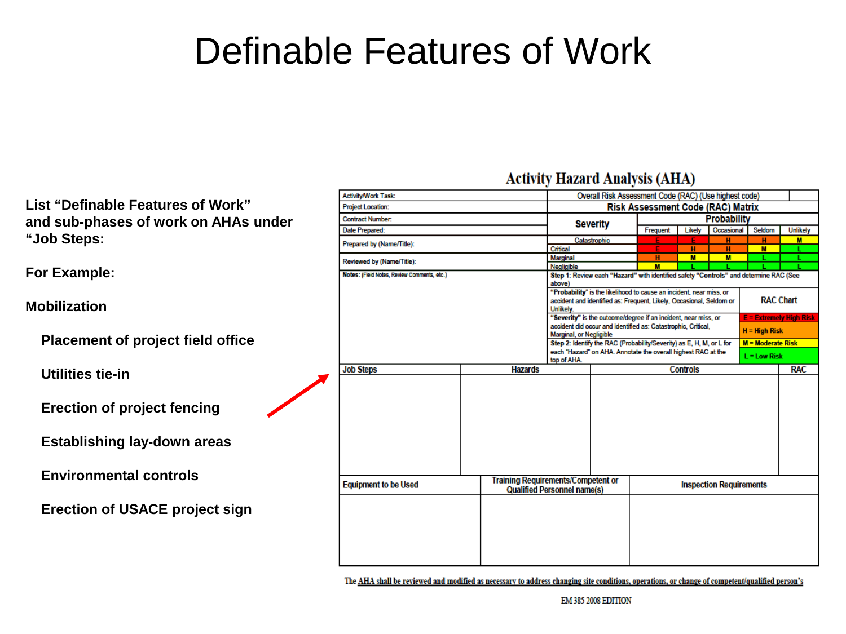#### Definable Features of Work

**Activity/Work Task:** Overall Risk Assessment Code (RAC) (Use highest code) **List "Definable Features of Work" Project Location: Risk Assessment Code (RAC) Matrix and sub-phases of work on AHAs under Contract Number: Probability Severity** Date Prepared: Frequent Likely Occasional Seldom **Unlikely "Job Steps:** Catastrophic Prepared by (Name/Title): Critical  $\overline{\mathbf{M}}$ **Marginal**  $\overline{\mathbf{M}}$  $\overline{\mathbf{M}}$ Reviewed by (Name/Title): Negligible  $M$ **For Example:** Notes: (Field Notes, Review Comments, etc.) Step 1: Review each "Hazard" with identified safety "Controls" and determine RAC (See above) "Probability" is the likelihood to cause an incident, near miss, or **RAC Chart** accident and identified as: Frequent, Likely, Occasional, Seldom or **Mobilization** Unlikely. "Severity" is the outcome/degree if an incident, near miss, or **E = Extremely High Risk** accident did occur and identified as: Catastrophic, Critical,  $H = High Risk$ Marginal, or Negligible  **Placement of project field office** Step 2: Identify the RAC (Probability/Severity) as E, H, M, or L for M = Moderate Risk each "Hazard" on AHA. Annotate the overall highest RAC at the  $L = Low Risk$ top of AHA. **Job Steps Hazards Controls Utilities tie-in Erection of project fencing Establishing lay-down areas Environmental controls Training Requirements/Competent or Equipment to be Used Inspection Requirements Qualified Personnel name(s) Erection of USACE project sign**

The AHA shall be reviewed and modified as necessary to address changing site conditions, operations, or change of competent/qualified person's

**Activity Hazard Analysis (AHA)** 

м

**RAC**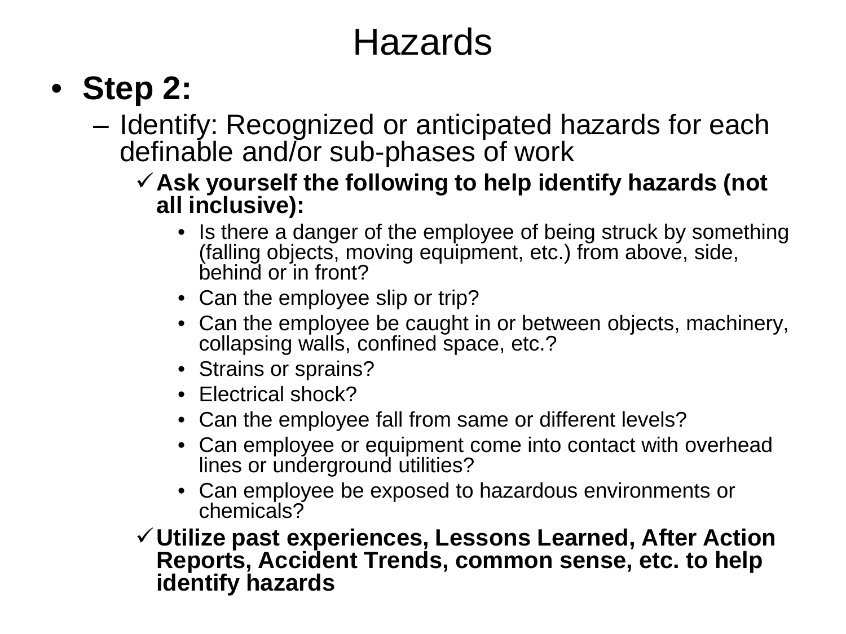#### Hazards

#### • **Step 2:**

- Identify: Recognized or anticipated hazards for each definable and/or sub-phases of work
	- **Ask yourself the following to help identify hazards (not all inclusive):**
		- Is there a danger of the employee of being struck by something (falling objects, moving equipment, etc.) from above, side, behind or in front?
		- Can the employee slip or trip?
		- Can the employee be caught in or between objects, machinery, collapsing walls, confined space, etc.?
		- Strains or sprains?
		- Electrical shock?
		- Can the employee fall from same or different levels?
		- Can employee or equipment come into contact with overhead lines or underground utilities?
		- Can employee be exposed to hazardous environments or chemicals?
	- **Utilize past experiences, Lessons Learned, After Action Reports, Accident Trends, common sense, etc. to help identify hazards**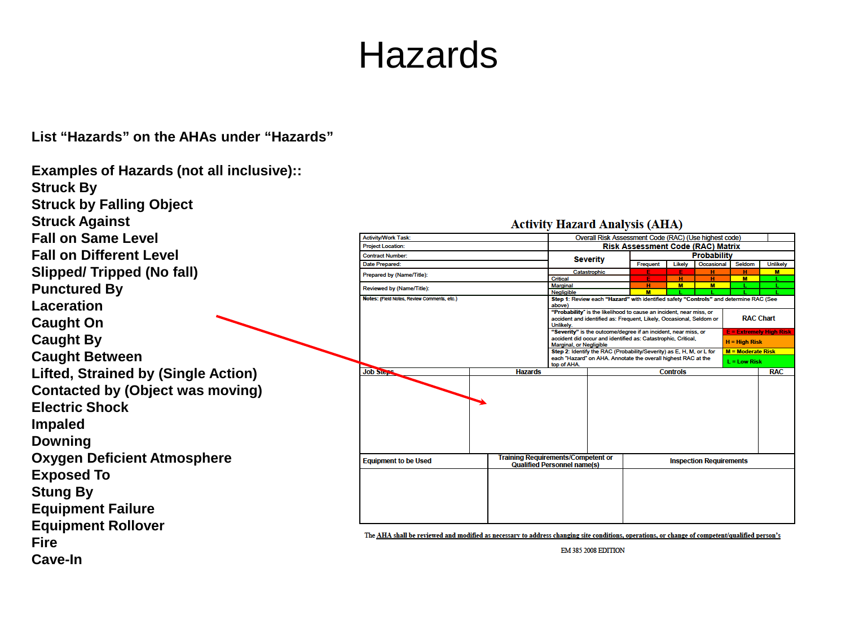#### Hazards

**List "Hazards" on the AHAs under "Hazards"**

#### **Examples of Hazards (not all inclusive):: Struck By Struck by Falling Object Struck Against Activity Hazard Analysis (AHA) Fall on Same Level** Activity/Work Task: Overall Risk Assessment Code (RAC) (Use highest code) **Project Location: Risk Assessment Code (RAC) Matrix Fall on Different Level Contract Number Probability Severity** Date Prepared: Frequent Likely Occasional Seldom **Unlikely Slipped/ Tripped (No fall)** Catastrophic Prepared by (Name/Title): Critical u. **Punctured By** Marginal Reviewed by (Name/Title): Negligible **Notes: (Field Notes, Review Comments, etc.)** Step 1: Review each "Hazard" with identified safety "Controls" and determine RAC (See **Laceration** above) "Probability" is the likelihood to cause an incident, near miss, or accident and identified as: Frequent, Likely, Occasional, Seldom or **RAC Chart Caught On** Unlikely. "Severity" is the outcome/degree if an incident, near miss, or **Caught By** accident did occur and identified as: Catastrophic, Critical,  $H = High Risk$ Marginal, or Negligible Step 2: Identify the RAC (Probability/Severity) as E, H, M, or L for M = Moderate Risk **Caught Between** each "Hazard" on AHA. Annotate the overall highest RAC at the  $L = Low Risk$ top of AHA. **Job Step Lifted, Strained by (Single Action) Hazards Controls RAC Contacted by (Object was moving) Electric Shock Impaled Downing Oxygen Deficient Atmosphere Training Requirements/Competent or Equipment to be Used Inspection Requirements Qualified Personnel name(s) Exposed To Stung By Equipment Failure Equipment Rollover** The AHA shall be reviewed and modified as necessary to address changing site conditions, operations, or change of competent/qualified person's **Fire** EM 385 2008 EDITION **Cave-In**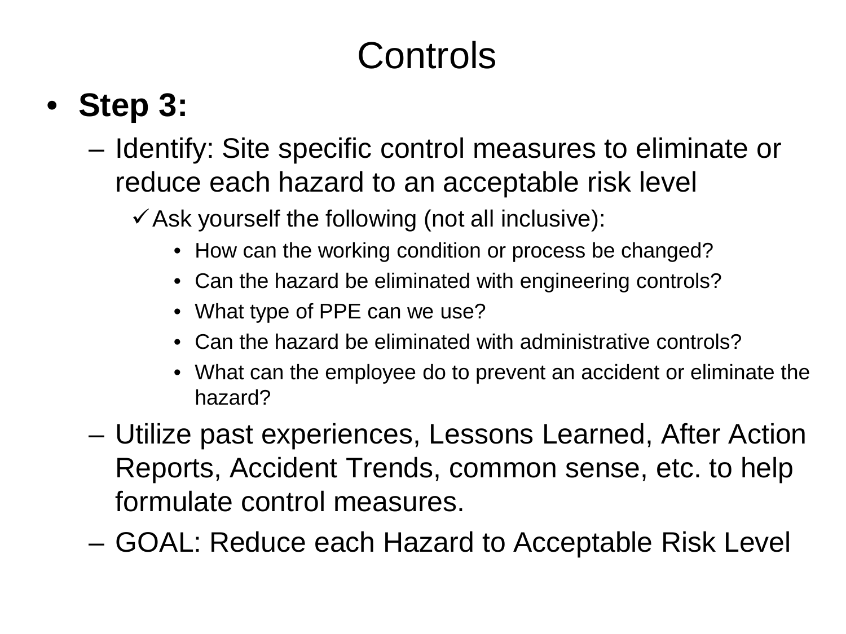# **Controls**

## • **Step 3:**

- Identify: Site specific control measures to eliminate or reduce each hazard to an acceptable risk level
	- $\checkmark$  Ask yourself the following (not all inclusive):
		- How can the working condition or process be changed?
		- Can the hazard be eliminated with engineering controls?
		- What type of PPE can we use?
		- Can the hazard be eliminated with administrative controls?
		- What can the employee do to prevent an accident or eliminate the hazard?
- Utilize past experiences, Lessons Learned, After Action Reports, Accident Trends, common sense, etc. to help formulate control measures.
- GOAL: Reduce each Hazard to Acceptable Risk Level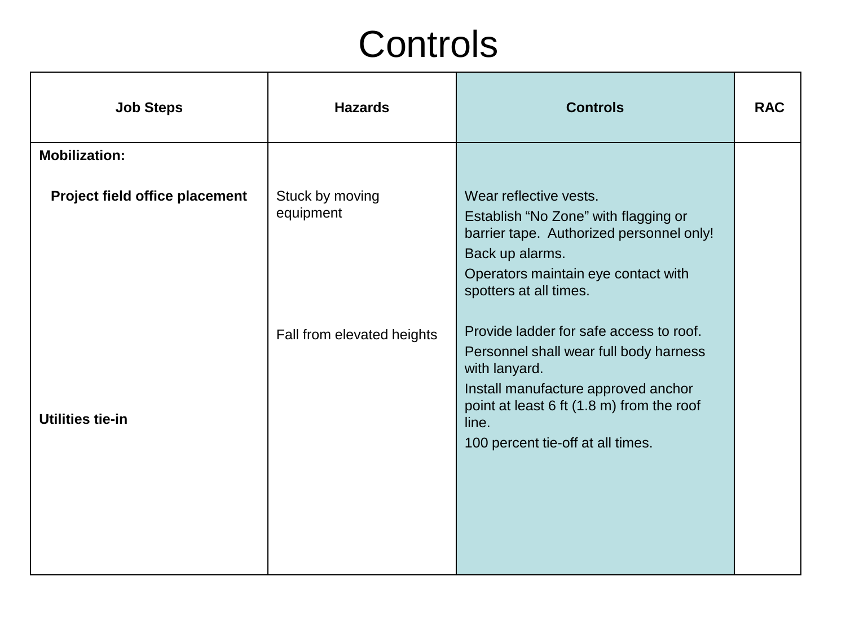#### **Controls**

| <b>Job Steps</b>                      | <b>Hazards</b>               | <b>Controls</b>                                                                                                                                                                                                                      | <b>RAC</b> |
|---------------------------------------|------------------------------|--------------------------------------------------------------------------------------------------------------------------------------------------------------------------------------------------------------------------------------|------------|
| <b>Mobilization:</b>                  |                              |                                                                                                                                                                                                                                      |            |
| <b>Project field office placement</b> | Stuck by moving<br>equipment | Wear reflective vests.<br>Establish "No Zone" with flagging or<br>barrier tape. Authorized personnel only!<br>Back up alarms.<br>Operators maintain eye contact with<br>spotters at all times.                                       |            |
| Utilities tie-in                      | Fall from elevated heights   | Provide ladder for safe access to roof.<br>Personnel shall wear full body harness<br>with lanyard.<br>Install manufacture approved anchor<br>point at least 6 ft (1.8 m) from the roof<br>line.<br>100 percent tie-off at all times. |            |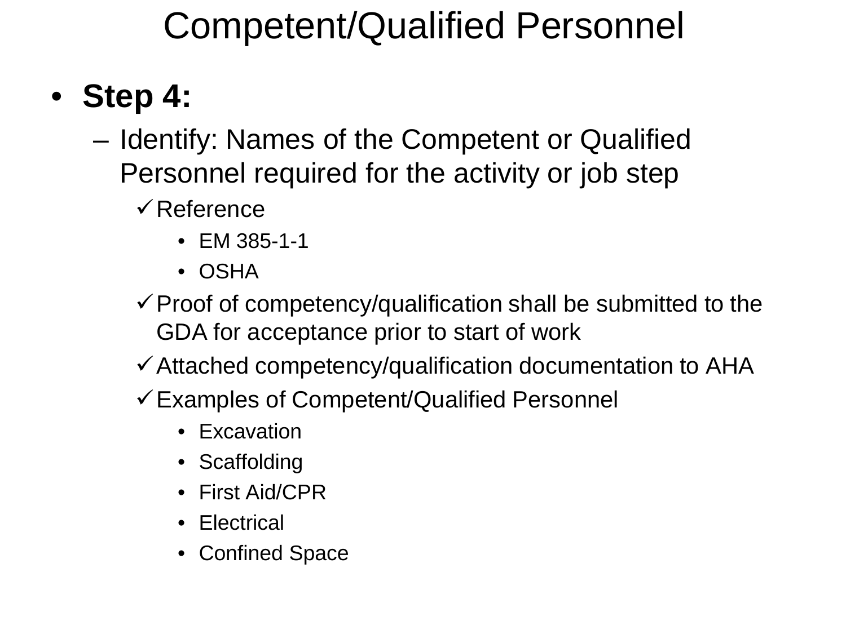## Competent/Qualified Personnel

#### • **Step 4:**

- Identify: Names of the Competent or Qualified Personnel required for the activity or job step
	- $\checkmark$  Reference
		- EM 385-1-1
		- OSHA
	- $\checkmark$  Proof of competency/qualification shall be submitted to the GDA for acceptance prior to start of work
	- $\checkmark$  Attached competency/qualification documentation to AHA
	- Examples of Competent/Qualified Personnel
		- Excavation
		- Scaffolding
		- First Aid/CPR
		- Electrical
		- Confined Space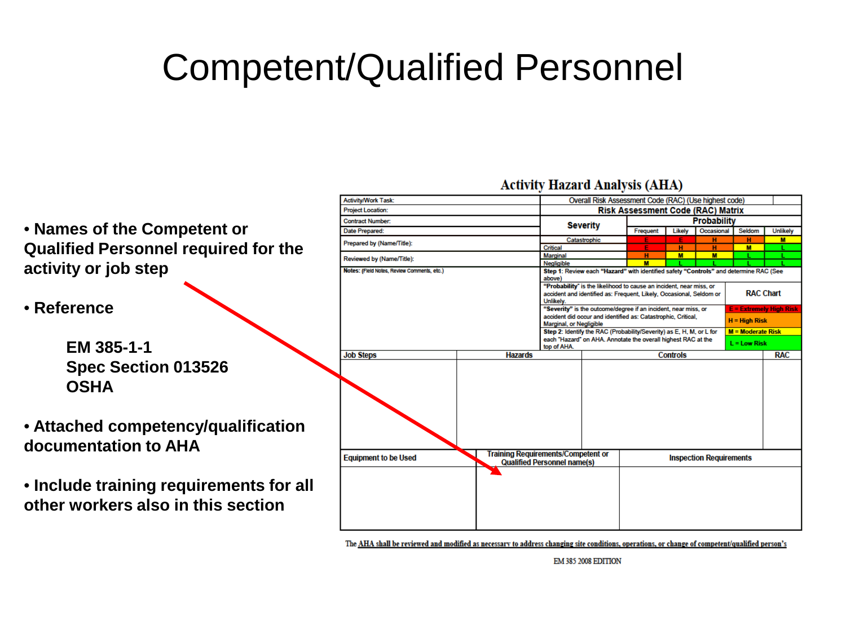#### Competent/Qualified Personnel

**Activity/Work Task:** Overall Risk Assessment Code (RAC) (Use highest code) **Project Location: Risk Assessment Code (RAC) Matrix Probability Contract Number** • **Names of the Competent or Severity** Date Prepared: Frequent Occasional Seldom **Unlikely** Likely Catastrophic м Prepared by (Name/Title): **Qualified Personnel required for the**  Critical  $\overline{\mathbf{M}}$ Marginal  $\overline{\mathbf{M}}$  $\overline{M}$ Reviewed by (Name/Title): Negligible  $M$ **activity or job step** Notes: (Field Notes, Review Comments, etc.) Step 1: Review each "Hazard" with identified safety "Controls" and determine RAC (See above) "Probability" is the likelihood to cause an incident, near miss, or **RAC Chart** accident and identified as: Frequent, Likely, Occasional, Seldom or Unlikely. • **Reference** "Severity" is the outcome/degree if an incident, near miss, or = Extremelv High accident did occur and identified as: Catastrophic, Critical,  $H = H$ igh Risk Marginal, or Negligible Step 2: Identify the RAC (Probability/Severity) as E, H, M, or L for  $M = Moderate Risk$ each "Hazard" on AHA. Annotate the overall highest RAC at the  $L = L$ ow Risk **EM 385-1-1**  top of AHA. **Job Steps Hazards Controls RAC Spec Section 013526 OSHA** • **Attached competency/qualification documentation to AHA Training Requirements/Competent or Equipment to be Used Inspection Requirements Qualified Personnel name(s)** • **Include training requirements for all other workers also in this section**

The AHA shall be reviewed and modified as necessary to address changing site conditions, operations, or change of competent/qualified person's

**EM 385 2008 EDITION** 

**Activity Hazard Analysis (AHA)**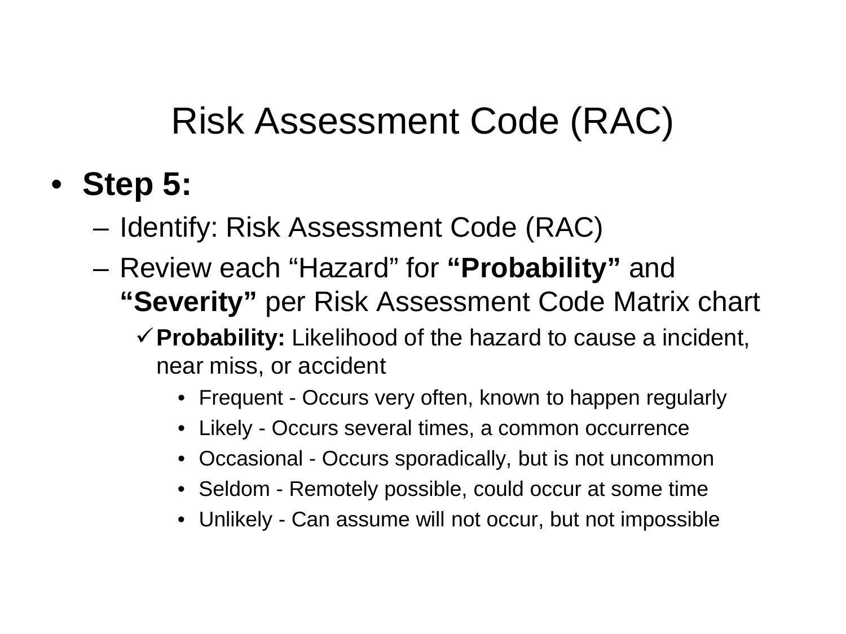- **Step 5:**
	- Identify: Risk Assessment Code (RAC)
	- Review each "Hazard" for **"Probability"** and **"Severity"** per Risk Assessment Code Matrix chart
		- **Probability:** Likelihood of the hazard to cause a incident, near miss, or accident
			- Frequent Occurs very often, known to happen regularly
			- Likely Occurs several times, a common occurrence
			- Occasional Occurs sporadically, but is not uncommon
			- Seldom Remotely possible, could occur at some time
			- Unlikely Can assume will not occur, but not impossible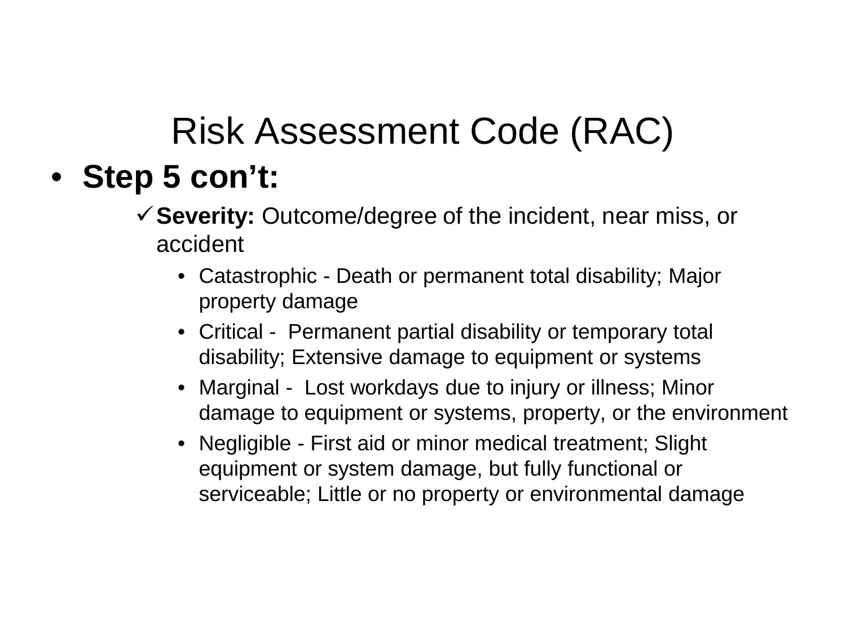- **Step 5 con't:**
	- **Severity:** Outcome/degree of the incident, near miss, or accident
		- Catastrophic Death or permanent total disability; Major property damage
		- Critical Permanent partial disability or temporary total disability; Extensive damage to equipment or systems
		- Marginal Lost workdays due to injury or illness; Minor damage to equipment or systems, property, or the environment
		- Negligible First aid or minor medical treatment; Slight equipment or system damage, but fully functional or serviceable; Little or no property or environmental damage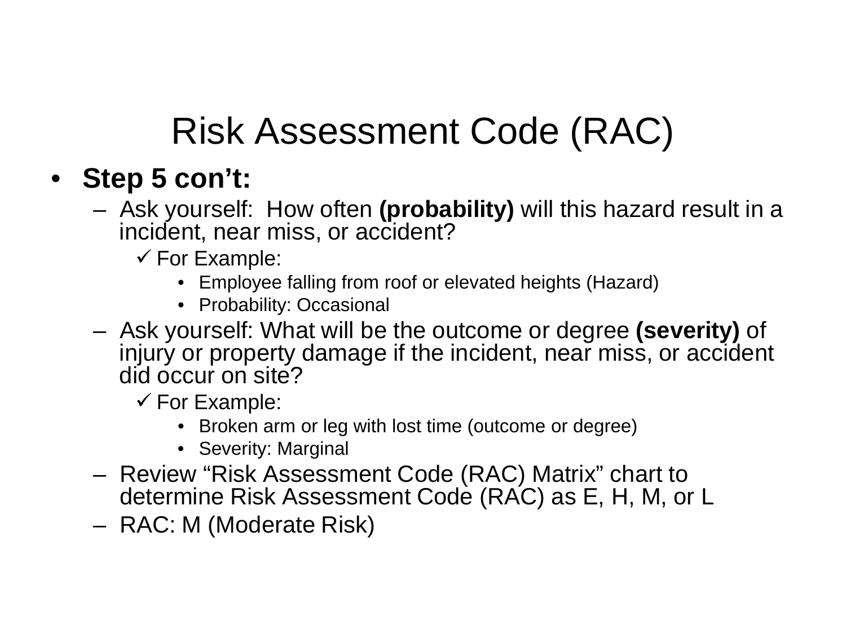#### • **Step 5 con't:**

- Ask yourself: How often **(probability)** will this hazard result in a incident, near miss, or accident?
	- $\checkmark$  For Example:
		- Employee falling from roof or elevated heights (Hazard)
		- Probability: Occasional
- Ask yourself: What will be the outcome or degree **(severity)** of injury or property damage if the incident, near miss, or accident did occur on site?

 $\checkmark$  For Example:

- Broken arm or leg with lost time (outcome or degree)
- Severity: Marginal
- Review "Risk Assessment Code (RAC) Matrix" chart to determine Risk Assessment Code (RAC) as E, H, M, or L
- RAC: M (Moderate Risk)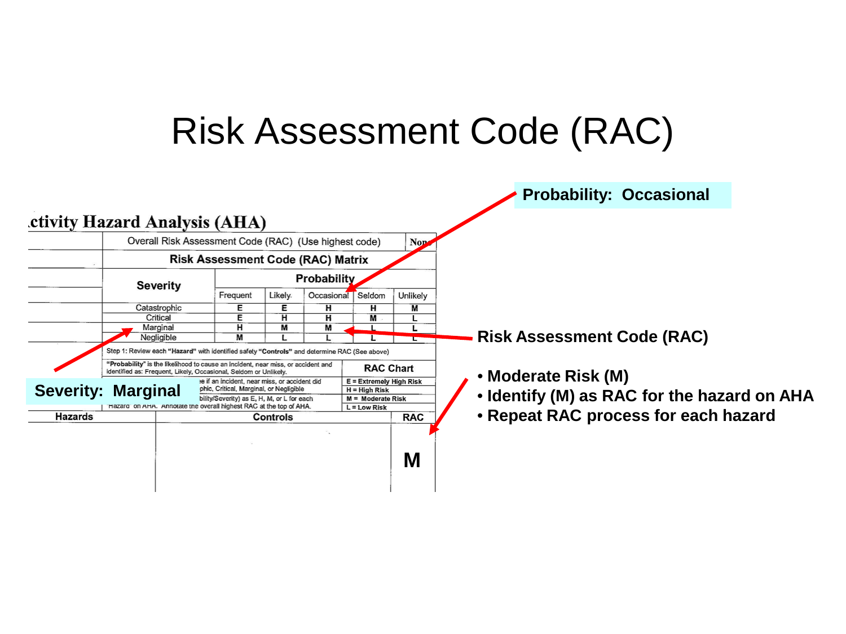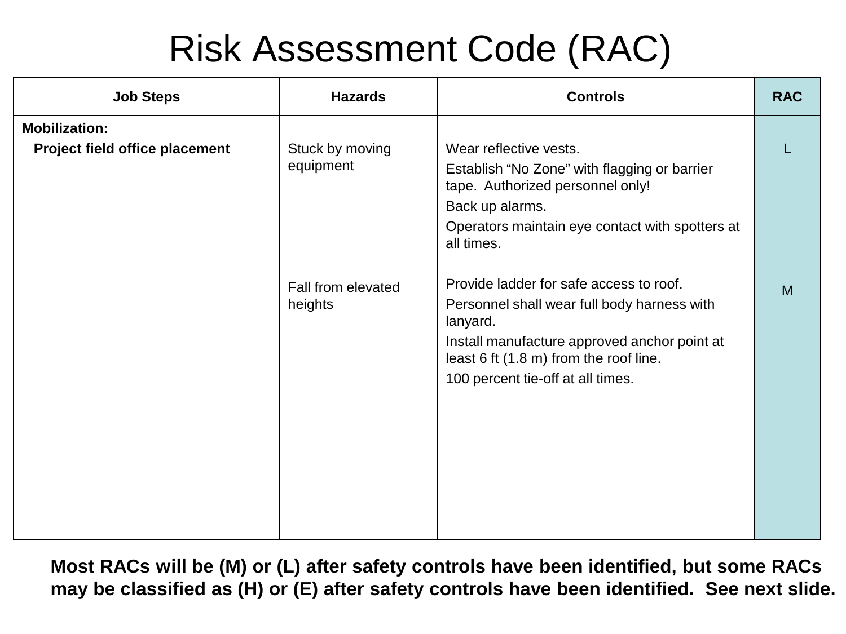| <b>Job Steps</b>                                       | <b>Hazards</b>                | <b>Controls</b>                                                                                                                                                                                                                   | <b>RAC</b> |
|--------------------------------------------------------|-------------------------------|-----------------------------------------------------------------------------------------------------------------------------------------------------------------------------------------------------------------------------------|------------|
| <b>Mobilization:</b><br>Project field office placement | Stuck by moving<br>equipment  | Wear reflective vests.<br>Establish "No Zone" with flagging or barrier<br>tape. Authorized personnel only!<br>Back up alarms.<br>Operators maintain eye contact with spotters at<br>all times.                                    |            |
|                                                        | Fall from elevated<br>heights | Provide ladder for safe access to roof.<br>Personnel shall wear full body harness with<br>lanyard.<br>Install manufacture approved anchor point at<br>least 6 ft (1.8 m) from the roof line.<br>100 percent tie-off at all times. | M          |
|                                                        |                               |                                                                                                                                                                                                                                   |            |

**Most RACs will be (M) or (L) after safety controls have been identified, but some RACs may be classified as (H) or (E) after safety controls have been identified. See next slide.**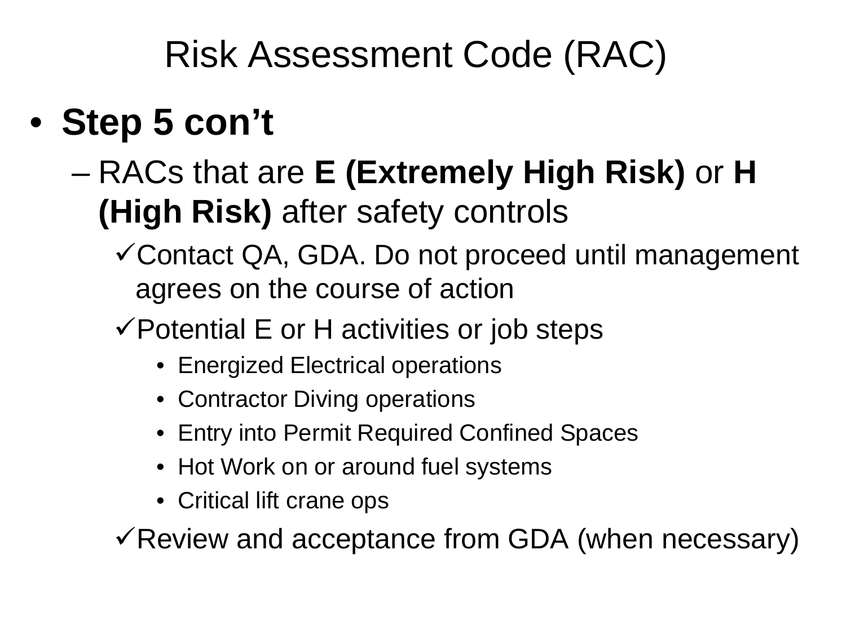- **Step 5 con't**
	- RACs that are **E (Extremely High Risk)** or **H (High Risk)** after safety controls
		- Contact QA, GDA. Do not proceed until management agrees on the course of action
		- $\checkmark$  Potential E or H activities or job steps
			- Energized Electrical operations
			- Contractor Diving operations
			- Entry into Permit Required Confined Spaces
			- Hot Work on or around fuel systems
			- Critical lift crane ops

 $\checkmark$  Review and acceptance from GDA (when necessary)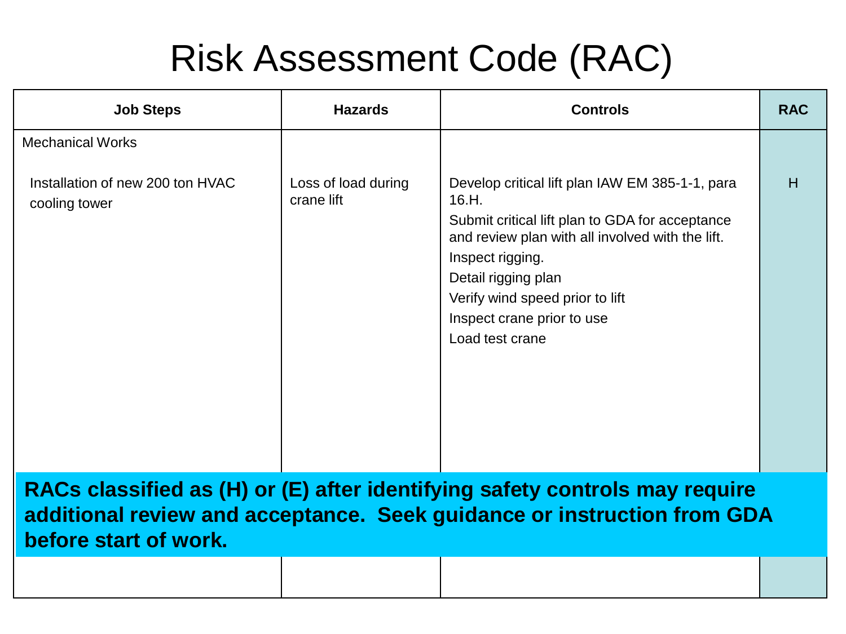| <b>Job Steps</b>                                                             | <b>Hazards</b>                    | <b>Controls</b>                                                                                                                                                                                                                                                                                | <b>RAC</b> |
|------------------------------------------------------------------------------|-----------------------------------|------------------------------------------------------------------------------------------------------------------------------------------------------------------------------------------------------------------------------------------------------------------------------------------------|------------|
| <b>Mechanical Works</b><br>Installation of new 200 ton HVAC<br>cooling tower | Loss of load during<br>crane lift | Develop critical lift plan IAW EM 385-1-1, para<br>16.H.<br>Submit critical lift plan to GDA for acceptance<br>and review plan with all involved with the lift.<br>Inspect rigging.<br>Detail rigging plan<br>Verify wind speed prior to lift<br>Inspect crane prior to use<br>Load test crane | H          |
|                                                                              |                                   |                                                                                                                                                                                                                                                                                                |            |

**RACs classified as (H) or (E) after identifying safety controls may require additional review and acceptance. Seek guidance or instruction from GDA before start of work.**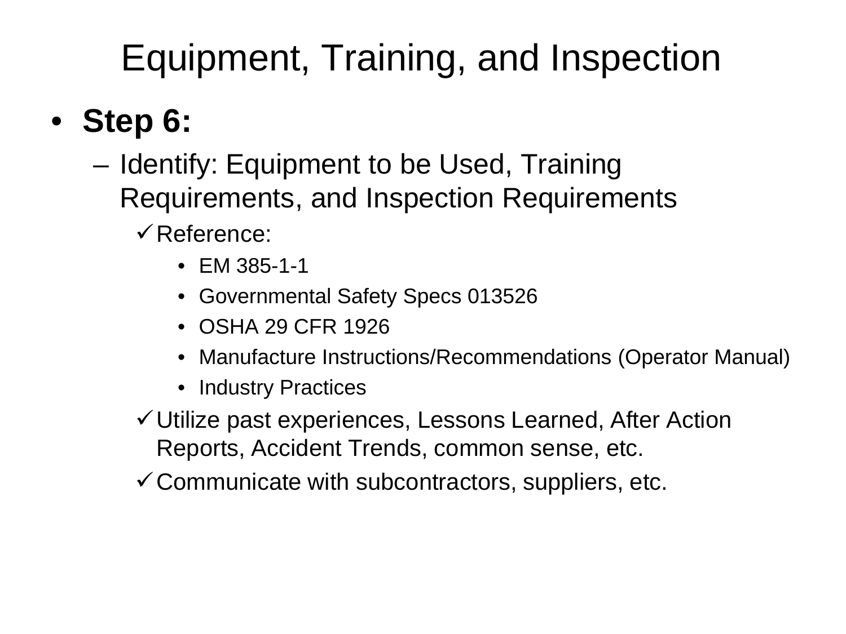# Equipment, Training, and Inspection

#### • **Step 6:**

- Identify: Equipment to be Used, Training Requirements, and Inspection Requirements
	- $\checkmark$  Reference:
		- EM 385-1-1
		- Governmental Safety Specs 013526
		- OSHA 29 CFR 1926
		- Manufacture Instructions/Recommendations (Operator Manual)
		- Industry Practices
	- Utilize past experiences, Lessons Learned, After Action Reports, Accident Trends, common sense, etc.
	- $\checkmark$  Communicate with subcontractors, suppliers, etc.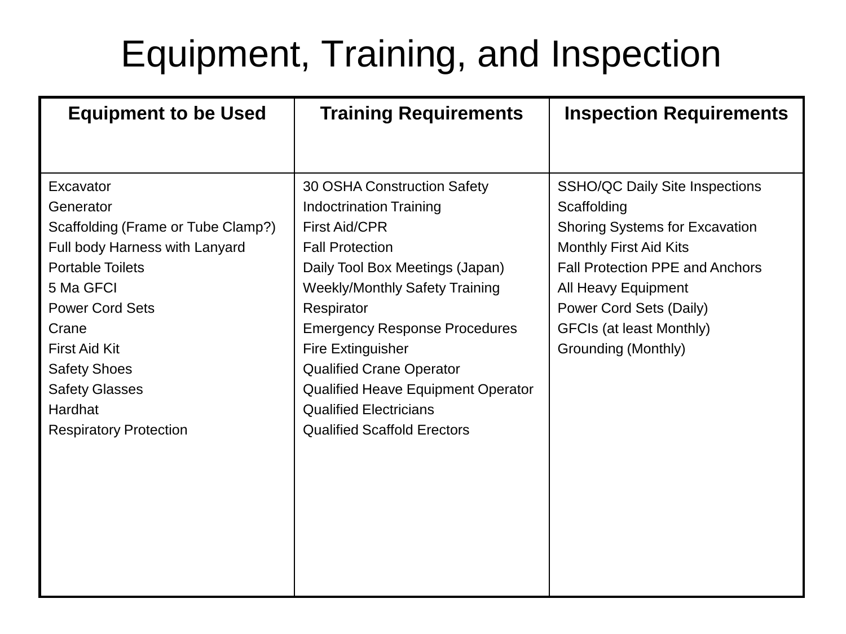## Equipment, Training, and Inspection

| 30 OSHA Construction Safety<br><b>Indoctrination Training</b><br><b>First Aid/CPR</b><br><b>Fall Protection</b><br>Daily Tool Box Meetings (Japan)<br><b>Weekly/Monthly Safety Training</b><br>Respirator<br><b>Emergency Response Procedures</b><br><b>Fire Extinguisher</b><br><b>Qualified Crane Operator</b><br><b>Qualified Heave Equipment Operator</b><br><b>Qualified Electricians</b><br><b>Qualified Scaffold Erectors</b> | <b>SSHO/QC Daily Site Inspections</b><br>Scaffolding<br><b>Shoring Systems for Excavation</b><br><b>Monthly First Aid Kits</b><br><b>Fall Protection PPE and Anchors</b><br>All Heavy Equipment<br>Power Cord Sets (Daily)<br><b>GFCIs (at least Monthly)</b><br>Grounding (Monthly) |
|--------------------------------------------------------------------------------------------------------------------------------------------------------------------------------------------------------------------------------------------------------------------------------------------------------------------------------------------------------------------------------------------------------------------------------------|--------------------------------------------------------------------------------------------------------------------------------------------------------------------------------------------------------------------------------------------------------------------------------------|
|                                                                                                                                                                                                                                                                                                                                                                                                                                      |                                                                                                                                                                                                                                                                                      |